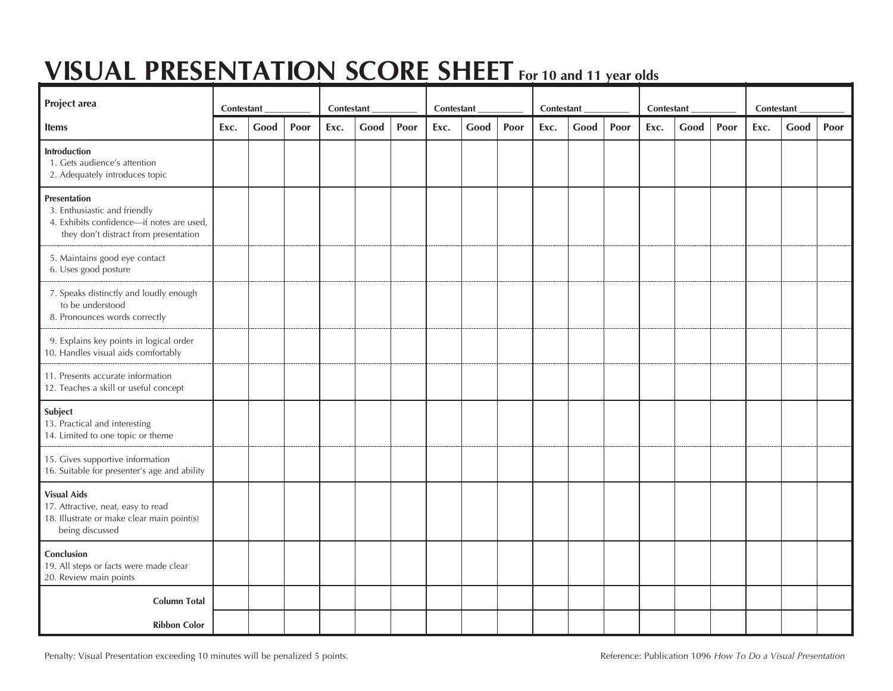# **VISUAL PRESENTATION SCORE SHEET For <sup>10</sup> and <sup>11</sup> year olds**

| Project area                                                                                                                       | Contestant |      |      | Contestant |      |      | Contestant |      |      | Contestant |      |      | Contestant |      |      | Contestant |      |      |
|------------------------------------------------------------------------------------------------------------------------------------|------------|------|------|------------|------|------|------------|------|------|------------|------|------|------------|------|------|------------|------|------|
| <b>Items</b>                                                                                                                       | Exc.       | Good | Poor | Exc.       | Good | Poor | Exc.       | Good | Poor | Exc.       | Good | Poor | Exc.       | Good | Poor | Exc.       | Good | Poor |
| Introduction<br>1. Gets audience's attention<br>2. Adequately introduces topic                                                     |            |      |      |            |      |      |            |      |      |            |      |      |            |      |      |            |      |      |
| Presentation<br>3. Enthusiastic and friendly<br>4. Exhibits confidence-if notes are used,<br>they don't distract from presentation |            |      |      |            |      |      |            |      |      |            |      |      |            |      |      |            |      |      |
| 5. Maintains good eye contact<br>6. Uses good posture                                                                              |            |      |      |            |      |      |            |      |      |            |      |      |            |      |      |            |      |      |
| 7. Speaks distinctly and loudly enough<br>to be understood<br>8. Pronounces words correctly                                        |            |      |      |            |      |      |            |      |      |            |      |      |            |      |      |            |      |      |
| 9. Explains key points in logical order<br>10. Handles visual aids comfortably                                                     |            |      |      |            |      |      |            |      |      |            |      |      |            |      |      |            |      |      |
| 11. Presents accurate information<br>12. Teaches a skill or useful concept                                                         |            |      |      |            |      |      |            |      |      |            |      |      |            |      |      |            |      |      |
| Subject<br>13. Practical and interesting<br>14. Limited to one topic or theme                                                      |            |      |      |            |      |      |            |      |      |            |      |      |            |      |      |            |      |      |
| 15. Gives supportive information<br>16. Suitable for presenter's age and ability                                                   |            |      |      |            |      |      |            |      |      |            |      |      |            |      |      |            |      |      |
| <b>Visual Aids</b><br>17. Attractive, neat, easy to read<br>18. Illustrate or make clear main point(s)<br>being discussed          |            |      |      |            |      |      |            |      |      |            |      |      |            |      |      |            |      |      |
| Conclusion<br>19. All steps or facts were made clear<br>20. Review main points                                                     |            |      |      |            |      |      |            |      |      |            |      |      |            |      |      |            |      |      |
| <b>Column Total</b>                                                                                                                |            |      |      |            |      |      |            |      |      |            |      |      |            |      |      |            |      |      |
| <b>Ribbon Color</b>                                                                                                                |            |      |      |            |      |      |            |      |      |            |      |      |            |      |      |            |      |      |